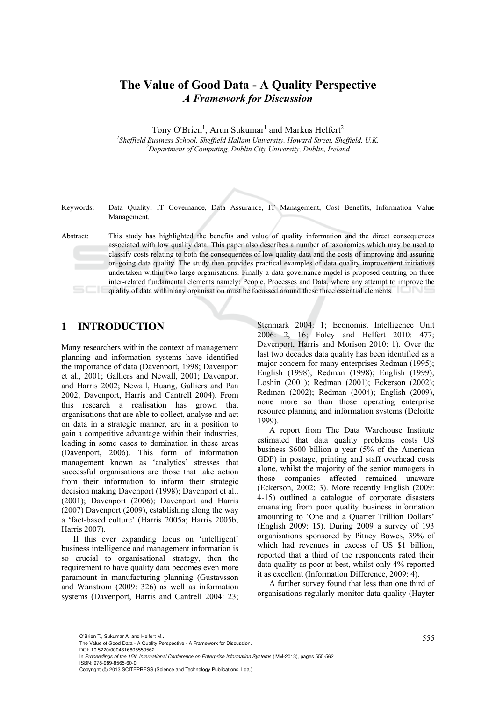# **The Value of Good Data - A Quality Perspective**  *A Framework for Discussion*

Tony O'Brien<sup>1</sup>, Arun Sukumar<sup>1</sup> and Markus Helfert<sup>2</sup>

<sup>1</sup> Sheffield Business School, Sheffield Hallam University, Howard Street, Sheffield, U.K. *Department of Computing, Dublin City University, Dublin, Ireland* 

Keywords: Data Quality, IT Governance, Data Assurance, IT Management, Cost Benefits, Information Value Management.

Abstract: This study has highlighted the benefits and value of quality information and the direct consequences associated with low quality data. This paper also describes a number of taxonomies which may be used to classify costs relating to both the consequences of low quality data and the costs of improving and assuring on-going data quality. The study then provides practical examples of data quality improvement initiatives undertaken within two large organisations. Finally a data governance model is proposed centring on three inter-related fundamental elements namely: People, Processes and Data, where any attempt to improve the quality of data within any organisation must be focussed around these three essential elements.

# **1 INTRODUCTION**

Many researchers within the context of management planning and information systems have identified the importance of data (Davenport, 1998; Davenport et al., 2001; Galliers and Newall, 2001; Davenport and Harris 2002; Newall, Huang, Galliers and Pan 2002; Davenport, Harris and Cantrell 2004). From this research a realisation has grown that organisations that are able to collect, analyse and act on data in a strategic manner, are in a position to gain a competitive advantage within their industries, leading in some cases to domination in these areas (Davenport, 2006). This form of information management known as 'analytics' stresses that successful organisations are those that take action from their information to inform their strategic decision making Davenport (1998); Davenport et al., (2001); Davenport (2006); Davenport and Harris (2007) Davenport (2009), establishing along the way a 'fact-based culture' (Harris 2005a; Harris 2005b; Harris 2007).

If this ever expanding focus on 'intelligent' business intelligence and management information is so crucial to organisational strategy, then the requirement to have quality data becomes even more paramount in manufacturing planning (Gustavsson and Wanstrom (2009: 326) as well as information systems (Davenport, Harris and Cantrell 2004: 23;

Stenmark 2004: 1; Economist Intelligence Unit 2006: 2, 16; Foley and Helfert 2010: 477; Davenport, Harris and Morison 2010: 1). Over the last two decades data quality has been identified as a major concern for many enterprises Redman (1995); English (1998); Redman (1998); English (1999); Loshin (2001); Redman (2001); Eckerson (2002); Redman (2002); Redman (2004); English (2009), none more so than those operating enterprise resource planning and information systems (Deloitte 1999).

A report from The Data Warehouse Institute estimated that data quality problems costs US business \$600 billion a year (5% of the American GDP) in postage, printing and staff overhead costs alone, whilst the majority of the senior managers in those companies affected remained unaware (Eckerson, 2002: 3). More recently English (2009: 4-15) outlined a catalogue of corporate disasters emanating from poor quality business information amounting to 'One and a Quarter Trillion Dollars' (English 2009: 15). During 2009 a survey of 193 organisations sponsored by Pitney Bowes, 39% of which had revenues in excess of US \$1 billion, reported that a third of the respondents rated their data quality as poor at best, whilst only 4% reported it as excellent (Information Difference, 2009: 4).

A further survey found that less than one third of organisations regularly monitor data quality (Hayter

In *Proceedings of the 15th International Conference on Enterprise Information Systems* (IVM-2013), pages 555-562 ISBN: 978-989-8565-60-0

O'Brien T., Sukumar A. and Helfert M..<br>The Value of Good Data - A Quality Perspective - A Framework for Discussion. DOI: 10.5220/0004616805550562

Copyright © 2013 SCITEPRESS (Science and Technology Publications, Lda.)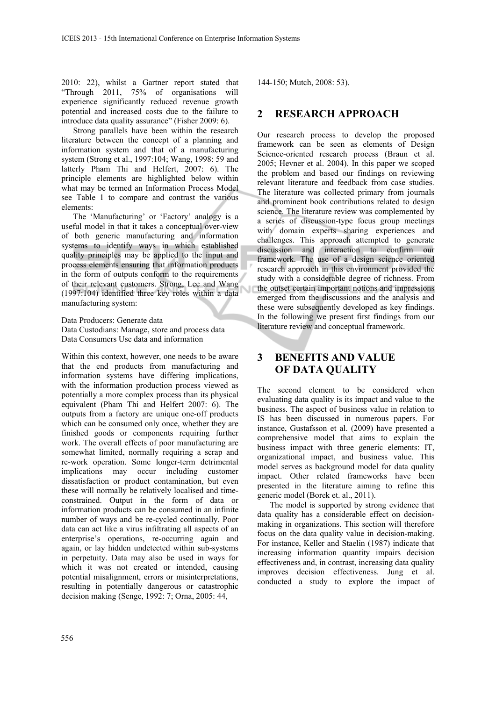2010: 22), whilst a Gartner report stated that "Through 2011, 75% of organisations will experience significantly reduced revenue growth potential and increased costs due to the failure to introduce data quality assurance" (Fisher 2009: 6).

Strong parallels have been within the research literature between the concept of a planning and information system and that of a manufacturing system (Strong et al., 1997:104; Wang, 1998: 59 and latterly Pham Thi and Helfert, 2007: 6). The principle elements are highlighted below within what may be termed an Information Process Model see Table 1 to compare and contrast the various elements:

The 'Manufacturing' or 'Factory' analogy is a useful model in that it takes a conceptual over-view of both generic manufacturing and information systems to identify ways in which established quality principles may be applied to the input and process elements ensuring that information products in the form of outputs conform to the requirements of their relevant customers. Strong, Lee and Wang (1997:104) identified three key roles within a data manufacturing system:

Data Producers: Generate data Data Custodians: Manage, store and process data Data Consumers Use data and information

Within this context, however, one needs to be aware that the end products from manufacturing and information systems have differing implications, with the information production process viewed as potentially a more complex process than its physical equivalent (Pham Thi and Helfert 2007: 6). The outputs from a factory are unique one-off products which can be consumed only once, whether they are finished goods or components requiring further work. The overall effects of poor manufacturing are somewhat limited, normally requiring a scrap and re-work operation. Some longer-term detrimental implications may occur including customer dissatisfaction or product contamination, but even these will normally be relatively localised and timeconstrained. Output in the form of data or information products can be consumed in an infinite number of ways and be re-cycled continually. Poor data can act like a virus infiltrating all aspects of an enterprise's operations, re-occurring again and again, or lay hidden undetected within sub-systems in perpetuity. Data may also be used in ways for which it was not created or intended, causing potential misalignment, errors or misinterpretations, resulting in potentially dangerous or catastrophic decision making (Senge, 1992: 7; Orna, 2005: 44,

144-150; Mutch, 2008: 53).

#### **2 RESEARCH APPROACH**

Our research process to develop the proposed framework can be seen as elements of Design Science-oriented research process (Braun et al. 2005; Hevner et al. 2004). In this paper we scoped the problem and based our findings on reviewing relevant literature and feedback from case studies. The literature was collected primary from journals and prominent book contributions related to design science. The literature review was complemented by a series of discussion-type focus group meetings with domain experts sharing experiences and challenges. This approach attempted to generate discussion and interaction to confirm our framework. The use of a design science oriented research approach in this environment provided the study with a considerable degree of richness. From the outset certain important notions and impressions emerged from the discussions and the analysis and these were subsequently developed as key findings. In the following we present first findings from our literature review and conceptual framework.

# **3 BENEFITS AND VALUE OF DATA QUALITY**

The second element to be considered when evaluating data quality is its impact and value to the business. The aspect of business value in relation to IS has been discussed in numerous papers. For instance, Gustafsson et al. (2009) have presented a comprehensive model that aims to explain the business impact with three generic elements: IT, organizational impact, and business value. This model serves as background model for data quality impact. Other related frameworks have been presented in the literature aiming to refine this generic model (Borek et. al., 2011).

The model is supported by strong evidence that data quality has a considerable effect on decisionmaking in organizations. This section will therefore focus on the data quality value in decision-making. For instance, Keller and Staelin (1987) indicate that increasing information quantity impairs decision effectiveness and, in contrast, increasing data quality improves decision effectiveness. Jung et al. conducted a study to explore the impact of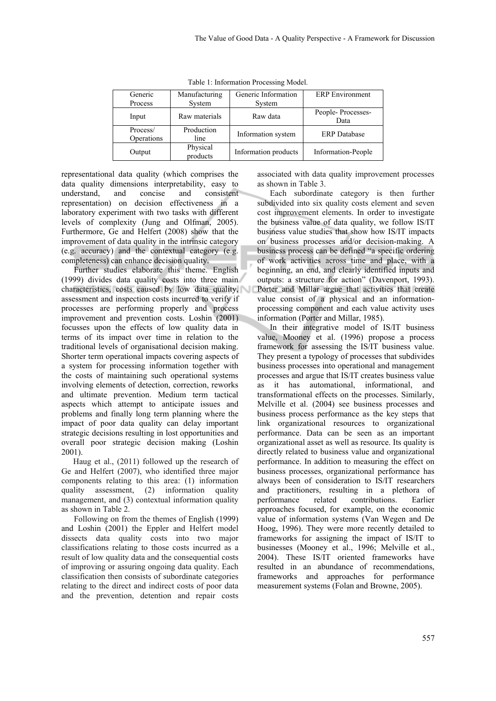| Generic                | Manufacturing        | Generic Information  | <b>ERP</b> Environment    |
|------------------------|----------------------|----------------------|---------------------------|
| Process                | System               | System               |                           |
| Input                  | Raw materials        | Raw data             | People-Processes-<br>Data |
| Process/<br>Operations | Production<br>line   | Information system   | <b>ERP</b> Database       |
| Output                 | Physical<br>products | Information products | Information-People        |

Table 1: Information Processing Model.

representational data quality (which comprises the data quality dimensions interpretability, easy to understand, and concise and consistent representation) on decision effectiveness in a laboratory experiment with two tasks with different levels of complexity (Jung and Olfman, 2005). Furthermore, Ge and Helfert (2008) show that the improvement of data quality in the intrinsic category (e.g. accuracy) and the contextual category (e.g. completeness) can enhance decision quality.

Further studies elaborate this theme. English (1999) divides data quality costs into three main characteristics, costs caused by low data quality, assessment and inspection costs incurred to verify if processes are performing properly and process improvement and prevention costs. Loshin (2001) focusses upon the effects of low quality data in terms of its impact over time in relation to the traditional levels of organisational decision making. Shorter term operational impacts covering aspects of a system for processing information together with the costs of maintaining such operational systems involving elements of detection, correction, reworks and ultimate prevention. Medium term tactical aspects which attempt to anticipate issues and problems and finally long term planning where the impact of poor data quality can delay important strategic decisions resulting in lost opportunities and overall poor strategic decision making (Loshin 2001).

Haug et al., (2011) followed up the research of Ge and Helfert (2007), who identified three major components relating to this area: (1) information quality assessment, (2) information quality management, and (3) contextual information quality as shown in Table 2.

Following on from the themes of English (1999) and Loshin (2001) the Eppler and Helfert model dissects data quality costs into two major classifications relating to those costs incurred as a result of low quality data and the consequential costs of improving or assuring ongoing data quality. Each classification then consists of subordinate categories relating to the direct and indirect costs of poor data and the prevention, detention and repair costs

associated with data quality improvement processes as shown in Table 3.

Each subordinate category is then further subdivided into six quality costs element and seven cost improvement elements. In order to investigate the business value of data quality, we follow IS/IT business value studies that show how IS/IT impacts on business processes and/or decision-making. A business process can be defined "a specific ordering of work activities across time and place, with a beginning, an end, and clearly identified inputs and outputs: a structure for action" (Davenport, 1993). Porter and Millar argue that activities that create value consist of a physical and an informationprocessing component and each value activity uses information (Porter and Millar, 1985).

In their integrative model of IS/IT business value, Mooney et al. (1996) propose a process framework for assessing the IS/IT business value. They present a typology of processes that subdivides business processes into operational and management processes and argue that IS/IT creates business value as it has automational, informational, and transformational effects on the processes. Similarly, Melville et al. (2004) see business processes and business process performance as the key steps that link organizational resources to organizational performance. Data can be seen as an important organizational asset as well as resource. Its quality is directly related to business value and organizational performance. In addition to measuring the effect on business processes, organizational performance has always been of consideration to IS/IT researchers and practitioners, resulting in a plethora of performance related contributions. Earlier approaches focused, for example, on the economic value of information systems (Van Wegen and De Hoog, 1996). They were more recently detailed to frameworks for assigning the impact of IS/IT to businesses (Mooney et al., 1996; Melville et al., 2004). These IS/IT oriented frameworks have resulted in an abundance of recommendations, frameworks and approaches for performance measurement systems (Folan and Browne, 2005).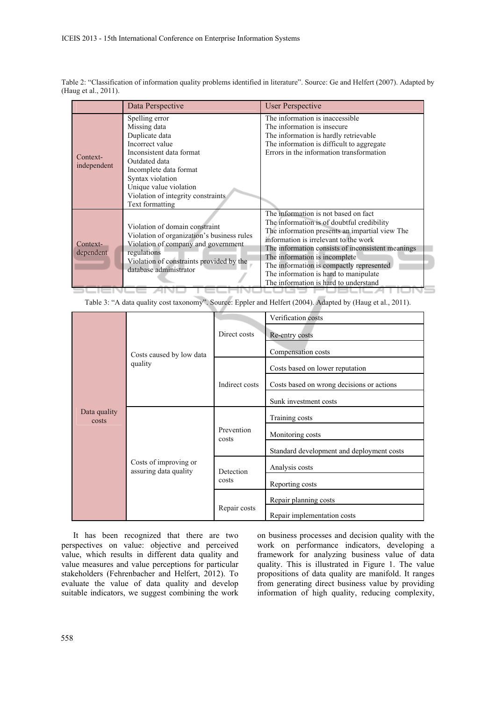|                         | Data Perspective                                                                                                                                                                                                                                  | User Perspective                                                                                                                                                                                                                                                                                                                                                                                  |
|-------------------------|---------------------------------------------------------------------------------------------------------------------------------------------------------------------------------------------------------------------------------------------------|---------------------------------------------------------------------------------------------------------------------------------------------------------------------------------------------------------------------------------------------------------------------------------------------------------------------------------------------------------------------------------------------------|
| Context-<br>independent | Spelling error<br>Missing data<br>Duplicate data<br>Incorrect value<br>Inconsistent data format<br>Outdated data<br>Incomplete data format<br>Syntax violation<br>Unique value violation<br>Violation of integrity constraints<br>Text formatting | The information is inaccessible<br>The information is insecure<br>The information is hardly retrievable.<br>The information is difficult to aggregate<br>Errors in the information transformation                                                                                                                                                                                                 |
| Context-<br>dependent   | Violation of domain constraint<br>Violation of organization's business rules<br>Violation of company and government<br>regulations<br>Violation of constraints provided by the<br>database administrator                                          | The information is not based on fact<br>The information is of doubtful credibility<br>The information presents an impartial view The<br>information is irrelevant to the work<br>The information consists of inconsistent meanings<br>The information is incomplete<br>The information is compactly represented<br>The information is hard to manipulate<br>The information is hard to understand |

Table 2: "Classification of information quality problems identified in literature". Source: Ge and Helfert (2007). Adapted by (Haug et al., 2011).

Table 3: "A data quality cost taxonomy". Source: Eppler and Helfert (2004). Adapted by (Haug et al., 2011).

| Data quality<br>costs | Costs caused by low data<br>quality            | Direct costs        | Verification costs                        |
|-----------------------|------------------------------------------------|---------------------|-------------------------------------------|
|                       |                                                |                     | Re-entry costs                            |
|                       |                                                |                     | Compensation costs                        |
|                       |                                                | Indirect costs      | Costs based on lower reputation           |
|                       |                                                |                     | Costs based on wrong decisions or actions |
|                       |                                                |                     | Sunk investment costs                     |
|                       | Costs of improving or<br>assuring data quality | Prevention<br>costs | Training costs                            |
|                       |                                                |                     | Monitoring costs                          |
|                       |                                                |                     | Standard development and deployment costs |
|                       |                                                | Detection<br>costs  | Analysis costs                            |
|                       |                                                |                     | Reporting costs                           |
|                       |                                                | Repair costs        | Repair planning costs                     |
|                       |                                                |                     | Repair implementation costs               |

It has been recognized that there are two perspectives on value: objective and perceived value, which results in different data quality and value measures and value perceptions for particular stakeholders (Fehrenbacher and Helfert, 2012). To evaluate the value of data quality and develop suitable indicators, we suggest combining the work on business processes and decision quality with the work on performance indicators, developing a framework for analyzing business value of data quality. This is illustrated in Figure 1. The value propositions of data quality are manifold. It ranges from generating direct business value by providing information of high quality, reducing complexity,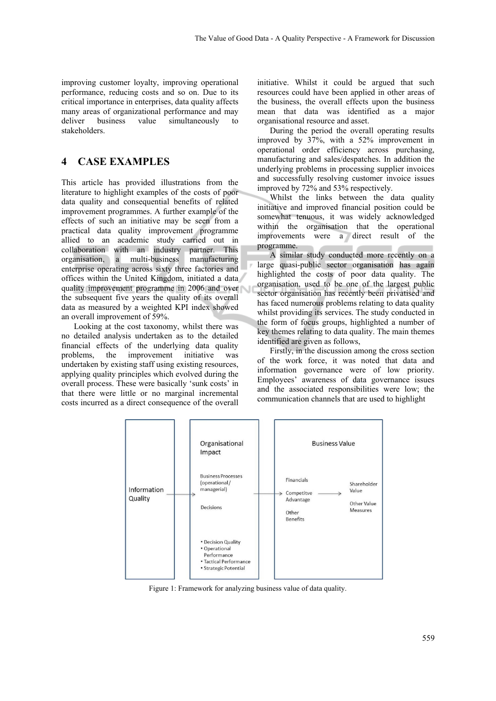improving customer loyalty, improving operational performance, reducing costs and so on. Due to its critical importance in enterprises, data quality affects many areas of organizational performance and may deliver business value simultaneously to stakeholders.

#### **4 CASE EXAMPLES**

This article has provided illustrations from the literature to highlight examples of the costs of poor data quality and consequential benefits of related improvement programmes. A further example of the effects of such an initiative may be seen from a practical data quality improvement programme allied to an academic study carried out in collaboration with an industry partner. This organisation, a multi-business manufacturing enterprise operating across sixty three factories and offices within the United Kingdom, initiated a data quality improvement programme in 2006 and over the subsequent five years the quality of its overall data as measured by a weighted KPI index showed an overall improvement of 59%.

Looking at the cost taxonomy, whilst there was no detailed analysis undertaken as to the detailed financial effects of the underlying data quality problems, the improvement initiative was undertaken by existing staff using existing resources, applying quality principles which evolved during the overall process. These were basically 'sunk costs' in that there were little or no marginal incremental costs incurred as a direct consequence of the overall

initiative. Whilst it could be argued that such resources could have been applied in other areas of the business, the overall effects upon the business mean that data was identified as a major organisational resource and asset.

During the period the overall operating results improved by 37%, with a 52% improvement in operational order efficiency across purchasing, manufacturing and sales/despatches. In addition the underlying problems in processing supplier invoices and successfully resolving customer invoice issues improved by 72% and 53% respectively.

Whilst the links between the data quality initiative and improved financial position could be somewhat tenuous, it was widely acknowledged within the organisation that the operational improvements were a direct result of the programme.

A similar study conducted more recently on a large quasi-public sector organisation has again highlighted the costs of poor data quality. The organisation, used to be one of the largest public sector organisation has recently been privatised and has faced numerous problems relating to data quality whilst providing its services. The study conducted in the form of focus groups, highlighted a number of key themes relating to data quality. The main themes identified are given as follows,

Firstly, in the discussion among the cross section of the work force, it was noted that data and information governance were of low priority. Employees' awareness of data governance issues and the associated responsibilities were low; the communication channels that are used to highlight



Figure 1: Framework for analyzing business value of data quality.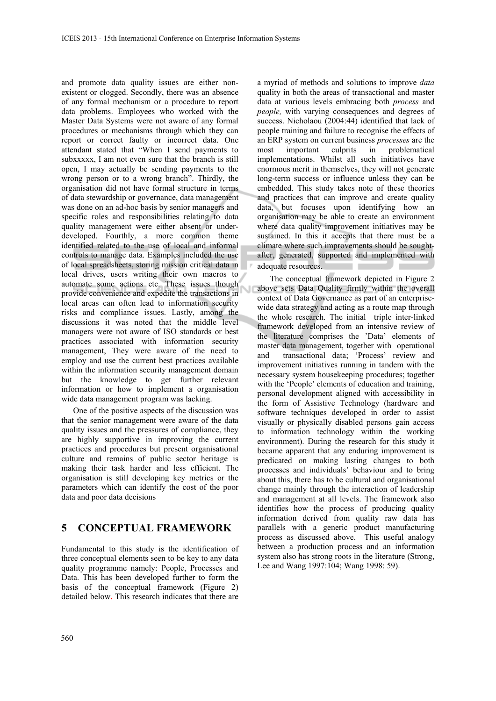and promote data quality issues are either nonexistent or clogged. Secondly, there was an absence of any formal mechanism or a procedure to report data problems. Employees who worked with the Master Data Systems were not aware of any formal procedures or mechanisms through which they can report or correct faulty or incorrect data. One attendant stated that "When I send payments to subxxxxx, I am not even sure that the branch is still open, I may actually be sending payments to the wrong person or to a wrong branch". Thirdly, the organisation did not have formal structure in terms of data stewardship or governance, data management was done on an ad-hoc basis by senior managers and specific roles and responsibilities relating to data quality management were either absent or underdeveloped. Fourthly, a more common theme identified related to the use of local and informal controls to manage data. Examples included the use of local spreadsheets, storing mission critical data in local drives, users writing their own macros to automate some actions etc. These issues though provide convenience and expedite the transactions in local areas can often lead to information security risks and compliance issues. Lastly, among the discussions it was noted that the middle level managers were not aware of ISO standards or best practices associated with information security management, They were aware of the need to employ and use the current best practices available within the information security management domain but the knowledge to get further relevant information or how to implement a organisation wide data management program was lacking.

One of the positive aspects of the discussion was that the senior management were aware of the data quality issues and the pressures of compliance, they are highly supportive in improving the current practices and procedures but present organisational culture and remains of public sector heritage is making their task harder and less efficient. The organisation is still developing key metrics or the parameters which can identify the cost of the poor data and poor data decisions

# **5 CONCEPTUAL FRAMEWORK**

Fundamental to this study is the identification of three conceptual elements seen to be key to any data quality programme namely: People, Processes and Data. This has been developed further to form the basis of the conceptual framework (Figure 2) detailed below**.** This research indicates that there are

a myriad of methods and solutions to improve *data* quality in both the areas of transactional and master data at various levels embracing both *process* and *people,* with varying consequences and degrees of success. Nicholaou (2004:44) identified that lack of people training and failure to recognise the effects of an ERP system on current business *processes* are the most important culprits in problematical implementations. Whilst all such initiatives have enormous merit in themselves, they will not generate long-term success or influence unless they can be embedded. This study takes note of these theories and practices that can improve and create quality data, but focuses upon identifying how an organisation may be able to create an environment where data quality improvement initiatives may be sustained. In this it accepts that there must be a climate where such improvements should be soughtafter, generated, supported and implemented with adequate resources.

The conceptual framework depicted in Figure 2 above sets Data Quality firmly within the overall context of Data Governance as part of an enterprisewide data strategy and acting as a route map through the whole research. The initial triple inter-linked framework developed from an intensive review of the literature comprises the 'Data' elements of master data management, together with operational and transactional data; 'Process' review and improvement initiatives running in tandem with the necessary system housekeeping procedures; together with the 'People' elements of education and training, personal development aligned with accessibility in the form of Assistive Technology (hardware and software techniques developed in order to assist visually or physically disabled persons gain access to information technology within the working environment). During the research for this study it became apparent that any enduring improvement is predicated on making lasting changes to both processes and individuals' behaviour and to bring about this, there has to be cultural and organisational change mainly through the interaction of leadership and management at all levels. The framework also identifies how the process of producing quality information derived from quality raw data has parallels with a generic product manufacturing process as discussed above. This useful analogy between a production process and an information system also has strong roots in the literature (Strong, Lee and Wang 1997:104; Wang 1998: 59).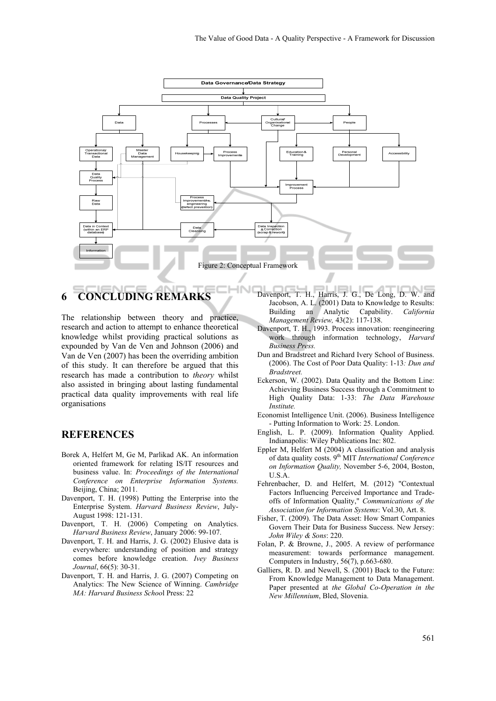

# **6 CONCLUDING REMARKS**

The relationship between theory and practice, research and action to attempt to enhance theoretical knowledge whilst providing practical solutions as expounded by Van de Ven and Johnson (2006) and Van de Ven (2007) has been the overriding ambition of this study. It can therefore be argued that this research has made a contribution to *theory* whilst also assisted in bringing about lasting fundamental practical data quality improvements with real life organisations

#### **REFERENCES**

- Borek A, Helfert M, Ge M, Parlikad AK. An information oriented framework for relating IS/IT resources and business value. In: *Proceedings of the International Conference on Enterprise Information Systems.* Beijing, China; 2011.
- Davenport, T. H. (1998) Putting the Enterprise into the Enterprise System. *Harvard Business Review*, July-August 1998: 121-131.
- Davenport, T. H. (2006) Competing on Analytics. *Harvard Business Review*, January 2006: 99-107.
- Davenport, T. H. and Harris, J. G. (2002) Elusive data is everywhere: understanding of position and strategy comes before knowledge creation. *Ivey Business Journal*, 66(5): 30-31.
- Davenport, T. H. and Harris, J. G. (2007) Competing on Analytics: The New Science of Winning. *Cambridge MA: Harvard Business Schoo*l Press: 22
- Davenport, T. H., Harris, J. G., De Long, D. W. and Jacobson, A. L. (2001) Data to Knowledge to Results: Building an Analytic Capability. *California Management Review,* 43(2): 117-138.
- Davenport, T. H., 1993. Process innovation: reengineering work through information technology, *Harvard Business Press.*
- Dun and Bradstreet and Richard Ivery School of Business. (2006). The Cost of Poor Data Quality: 1-13*: Dun and Bradstreet.*
- Eckerson, W. (2002). Data Quality and the Bottom Line: Achieving Business Success through a Commitment to High Quality Data: 1-33: *The Data Warehouse Institute.*
- Economist Intelligence Unit. (2006). Business Intelligence - Putting Information to Work: 25. London.
- English, L. P. (2009). Information Quality Applied. Indianapolis: Wiley Publications Inc: 802.
- Eppler M, Helfert M (2004) A classification and analysis of data quality costs. 9th MIT *International Conference on Information Quality,* November 5-6, 2004, Boston, U.S.A.
- Fehrenbacher, D. and Helfert, M. (2012) "Contextual Factors Influencing Perceived Importance and Tradeoffs of Information Quality," *Communications of the Association for Information Systems*: Vol.30, Art. 8.
- Fisher, T. (2009). The Data Asset: How Smart Companies Govern Their Data for Business Success. New Jersey: *John Wiley & Sons*: 220.
- Folan, P. & Browne, J., 2005. A review of performance measurement: towards performance management. Computers in Industry,  $56(7)$ , p.663-680.
- Galliers, R. D. and Newell, S. (2001) Back to the Future: From Knowledge Management to Data Management. Paper presented at *the Global Co-Operation in the New Millennium*, Bled, Slovenia.